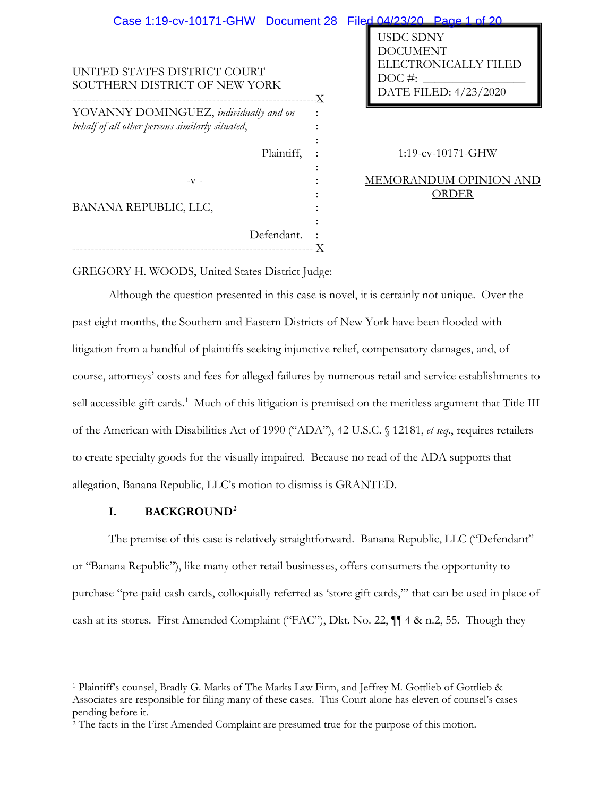| Case 1:19-cv-10171-GHW Document 28                            | Filed 04/23/20 Page 1 of 20                                                             |
|---------------------------------------------------------------|-----------------------------------------------------------------------------------------|
| UNITED STATES DISTRICT COURT<br>SOUTHERN DISTRICT OF NEW YORK | <b>USDC SDNY</b><br>DOCUMENT<br>ELECTRONICALLY FIL<br>$DOC$ #:<br>DATE FILED: 4/23/2020 |
| YOVANNY DOMINGUEZ, individually and on                        |                                                                                         |
| behalf of all other persons similarly situated,               |                                                                                         |
|                                                               |                                                                                         |
| Plaintiff,                                                    | 1:19-cv-10171-GHW                                                                       |
|                                                               |                                                                                         |
| $-V$ -                                                        | MEMORANDUM OPINIO                                                                       |
|                                                               | ORDER                                                                                   |
| BANANA REPUBLIC, LLC,                                         |                                                                                         |
|                                                               |                                                                                         |
| Defendant.                                                    |                                                                                         |
|                                                               |                                                                                         |

# 1:19-cv-10171-GHW

ELECTRONICALLY FILED

# MEMORANDUM OPINION AND ORDER

GREGORY H. WOODS, United States District Judge:

Although the question presented in this case is novel, it is certainly not unique. Over the past eight months, the Southern and Eastern Districts of New York have been flooded with litigation from a handful of plaintiffs seeking injunctive relief, compensatory damages, and, of course, attorneys' costs and fees for alleged failures by numerous retail and service establishments to sell accessible gift cards.<sup>1</sup> Much of this litigation is premised on the meritless argument that Title III of the American with Disabilities Act of 1990 ("ADA"), 42 U.S.C. § 12181, *et seq.*, requires retailers to create specialty goods for the visually impaired. Because no read of the ADA supports that allegation, Banana Republic, LLC's motion to dismiss is GRANTED.

# **I. BACKGROUND2**

The premise of this case is relatively straightforward. Banana Republic, LLC ("Defendant" or "Banana Republic"), like many other retail businesses, offers consumers the opportunity to purchase "pre-paid cash cards, colloquially referred as 'store gift cards,'" that can be used in place of cash at its stores. First Amended Complaint ("FAC"), Dkt. No. 22, ¶¶ 4 & n.2, 55. Though they

<sup>1</sup> Plaintiff's counsel, Bradly G. Marks of The Marks Law Firm, and Jeffrey M. Gottlieb of Gottlieb & Associates are responsible for filing many of these cases. This Court alone has eleven of counsel's cases pending before it.

<sup>2</sup> The facts in the First Amended Complaint are presumed true for the purpose of this motion.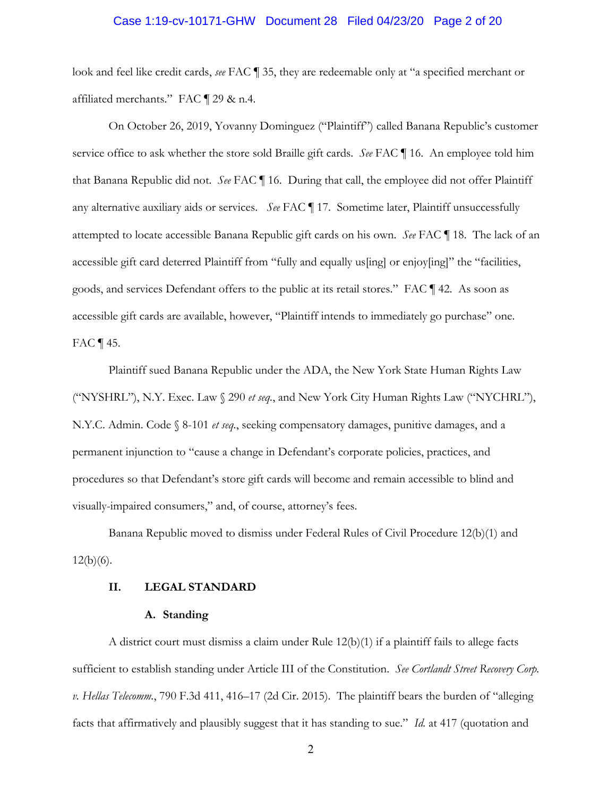# Case 1:19-cv-10171-GHW Document 28 Filed 04/23/20 Page 2 of 20

look and feel like credit cards, *see* FAC ¶ 35, they are redeemable only at "a specified merchant or affiliated merchants." FAC ¶ 29 & n.4.

On October 26, 2019, Yovanny Dominguez ("Plaintiff") called Banana Republic's customer service office to ask whether the store sold Braille gift cards. *See* FAC ¶ 16. An employee told him that Banana Republic did not. *See* FAC ¶ 16. During that call, the employee did not offer Plaintiff any alternative auxiliary aids or services. *See* FAC ¶ 17. Sometime later, Plaintiff unsuccessfully attempted to locate accessible Banana Republic gift cards on his own. *See* FAC ¶ 18. The lack of an accessible gift card deterred Plaintiff from "fully and equally us[ing] or enjoy[ing]" the "facilities, goods, and services Defendant offers to the public at its retail stores." FAC ¶ 42. As soon as accessible gift cards are available, however, "Plaintiff intends to immediately go purchase" one. FAC ¶ 45.

Plaintiff sued Banana Republic under the ADA, the New York State Human Rights Law ("NYSHRL"), N.Y. Exec. Law § 290 *et seq.*, and New York City Human Rights Law ("NYCHRL"), N.Y.C. Admin. Code § 8-101 *et seq.*, seeking compensatory damages, punitive damages, and a permanent injunction to "cause a change in Defendant's corporate policies, practices, and procedures so that Defendant's store gift cards will become and remain accessible to blind and visually-impaired consumers," and, of course, attorney's fees.

Banana Republic moved to dismiss under Federal Rules of Civil Procedure 12(b)(1) and  $12(b)(6)$ .

# **II. LEGAL STANDARD**

### **A. Standing**

A district court must dismiss a claim under Rule  $12(b)(1)$  if a plaintiff fails to allege facts sufficient to establish standing under Article III of the Constitution. *See Cortlandt Street Recovery Corp. v. Hellas Telecomm.*, 790 F.3d 411, 416–17 (2d Cir. 2015). The plaintiff bears the burden of "alleging facts that affirmatively and plausibly suggest that it has standing to sue." *Id.* at 417 (quotation and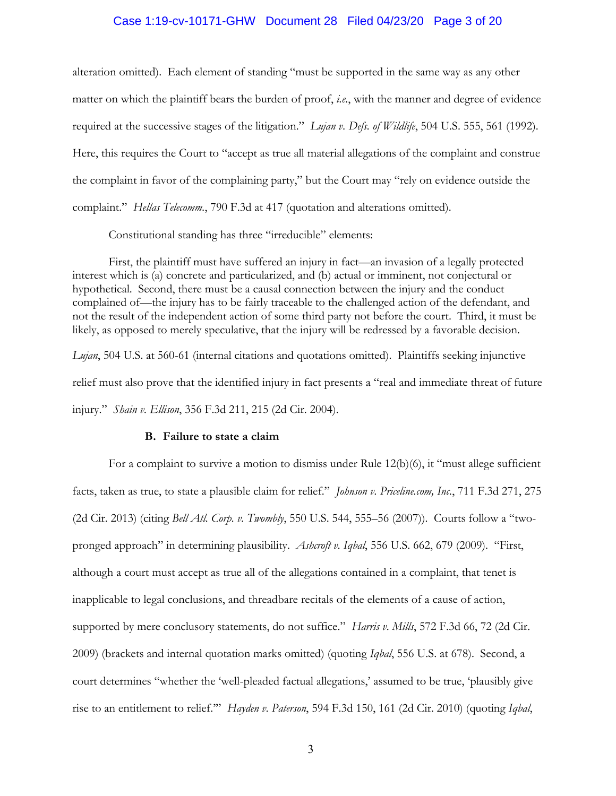### Case 1:19-cv-10171-GHW Document 28 Filed 04/23/20 Page 3 of 20

alteration omitted). Each element of standing "must be supported in the same way as any other matter on which the plaintiff bears the burden of proof, *i.e.*, with the manner and degree of evidence required at the successive stages of the litigation." *Lujan v. Defs. of Wildlife*, 504 U.S. 555, 561 (1992). Here, this requires the Court to "accept as true all material allegations of the complaint and construe the complaint in favor of the complaining party," but the Court may "rely on evidence outside the complaint." *Hellas Telecomm.*, 790 F.3d at 417 (quotation and alterations omitted).

Constitutional standing has three "irreducible" elements:

First, the plaintiff must have suffered an injury in fact—an invasion of a legally protected interest which is (a) concrete and particularized, and (b) actual or imminent, not conjectural or hypothetical. Second, there must be a causal connection between the injury and the conduct complained of—the injury has to be fairly traceable to the challenged action of the defendant, and not the result of the independent action of some third party not before the court. Third, it must be likely, as opposed to merely speculative, that the injury will be redressed by a favorable decision.

*Lujan*, 504 U.S. at 560-61 (internal citations and quotations omitted). Plaintiffs seeking injunctive relief must also prove that the identified injury in fact presents a "real and immediate threat of future injury." *Shain v. Ellison*, 356 F.3d 211, 215 (2d Cir. 2004).

## **B. Failure to state a claim**

For a complaint to survive a motion to dismiss under Rule 12(b)(6), it "must allege sufficient facts, taken as true, to state a plausible claim for relief." *Johnson v. Priceline.com, Inc.*, 711 F.3d 271, 275 (2d Cir. 2013) (citing *Bell Atl. Corp. v. Twombly*, 550 U.S. 544, 555–56 (2007)). Courts follow a "twopronged approach" in determining plausibility. *Ashcroft v. Iqbal*, 556 U.S. 662, 679 (2009). "First, although a court must accept as true all of the allegations contained in a complaint, that tenet is inapplicable to legal conclusions, and threadbare recitals of the elements of a cause of action, supported by mere conclusory statements, do not suffice." *Harris v*. *Mills*, 572 F.3d 66, 72 (2d Cir. 2009) (brackets and internal quotation marks omitted) (quoting *Iqbal*, 556 U.S. at 678). Second, a court determines "whether the 'well-pleaded factual allegations,' assumed to be true, 'plausibly give rise to an entitlement to relief.'" *Hayden v. Paterson*, 594 F.3d 150, 161 (2d Cir. 2010) (quoting *Iqbal*,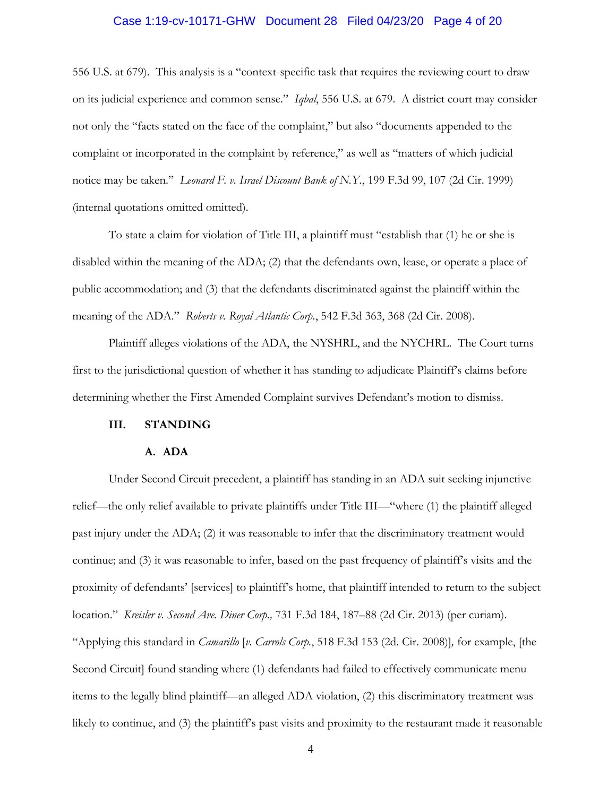# Case 1:19-cv-10171-GHW Document 28 Filed 04/23/20 Page 4 of 20

556 U.S. at 679). This analysis is a "context-specific task that requires the reviewing court to draw on its judicial experience and common sense." *Iqbal*, 556 U.S. at 679. A district court may consider not only the "facts stated on the face of the complaint," but also "documents appended to the complaint or incorporated in the complaint by reference," as well as "matters of which judicial notice may be taken." *Leonard F. v. Israel Discount Bank of N.Y.*, 199 F.3d 99, 107 (2d Cir. 1999) (internal quotations omitted omitted).

To state a claim for violation of Title III, a plaintiff must "establish that (1) he or she is disabled within the meaning of the ADA; (2) that the defendants own, lease, or operate a place of public accommodation; and (3) that the defendants discriminated against the plaintiff within the meaning of the ADA." *Roberts v. Royal Atlantic Corp.*, 542 F.3d 363, 368 (2d Cir. 2008).

Plaintiff alleges violations of the ADA, the NYSHRL, and the NYCHRL. The Court turns first to the jurisdictional question of whether it has standing to adjudicate Plaintiff's claims before determining whether the First Amended Complaint survives Defendant's motion to dismiss.

### **III. STANDING**

### **A. ADA**

Under Second Circuit precedent, a plaintiff has standing in an ADA suit seeking injunctive relief—the only relief available to private plaintiffs under Title III—"where (1) the plaintiff alleged past injury under the ADA; (2) it was reasonable to infer that the discriminatory treatment would continue; and (3) it was reasonable to infer, based on the past frequency of plaintiff's visits and the proximity of defendants' [services] to plaintiff's home, that plaintiff intended to return to the subject location." *Kreisler v. Second Ave. Diner Corp.,* 731 F.3d 184, 187–88 (2d Cir. 2013) (per curiam). "Applying this standard in *Camarillo* [*v. Carrols Corp.*, 518 F.3d 153 (2d. Cir. 2008)]*,* for example, [the Second Circuit] found standing where (1) defendants had failed to effectively communicate menu items to the legally blind plaintiff—an alleged ADA violation, (2) this discriminatory treatment was likely to continue, and (3) the plaintiff's past visits and proximity to the restaurant made it reasonable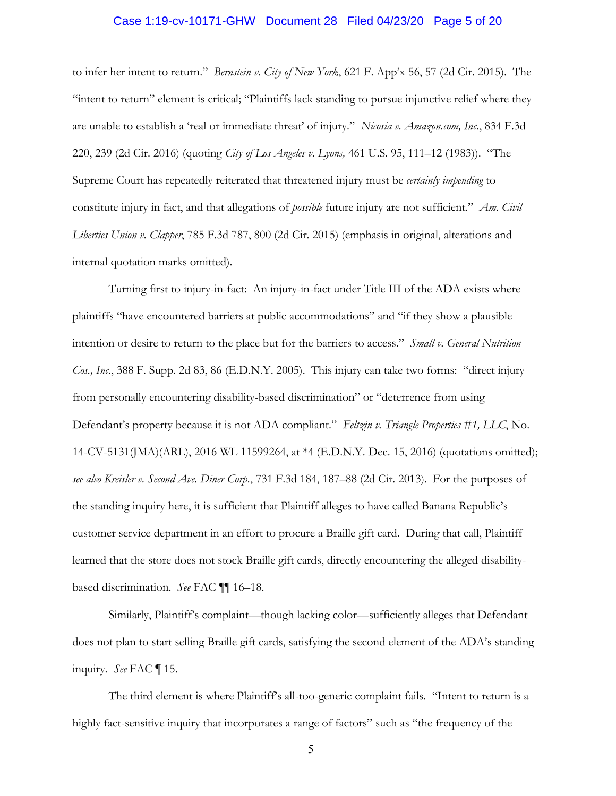### Case 1:19-cv-10171-GHW Document 28 Filed 04/23/20 Page 5 of 20

to infer her intent to return." *Bernstein v. City of New York*, 621 F. App'x 56, 57 (2d Cir. 2015). The "intent to return" element is critical; "Plaintiffs lack standing to pursue injunctive relief where they are unable to establish a 'real or immediate threat' of injury." *Nicosia v. Amazon.com, Inc.*, 834 F.3d 220, 239 (2d Cir. 2016) (quoting *City of Los Angeles v. Lyons,* 461 U.S. 95, 111–12 (1983)). "The Supreme Court has repeatedly reiterated that threatened injury must be *certainly impending* to constitute injury in fact, and that allegations of *possible* future injury are not sufficient." *Am. Civil Liberties Union v. Clapper*, 785 F.3d 787, 800 (2d Cir. 2015) (emphasis in original, alterations and internal quotation marks omitted).

Turning first to injury-in-fact: An injury-in-fact under Title III of the ADA exists where plaintiffs "have encountered barriers at public accommodations" and "if they show a plausible intention or desire to return to the place but for the barriers to access." *Small v. General Nutrition Cos., Inc.*, 388 F. Supp. 2d 83, 86 (E.D.N.Y. 2005). This injury can take two forms: "direct injury from personally encountering disability-based discrimination" or "deterrence from using Defendant's property because it is not ADA compliant." *Feltzin v. Triangle Properties #1, LLC*, No. 14-CV-5131(JMA)(ARL), 2016 WL 11599264, at \*4 (E.D.N.Y. Dec. 15, 2016) (quotations omitted); *see also Kreisler v. Second Ave. Diner Corp.*, 731 F.3d 184, 187–88 (2d Cir. 2013). For the purposes of the standing inquiry here, it is sufficient that Plaintiff alleges to have called Banana Republic's customer service department in an effort to procure a Braille gift card. During that call, Plaintiff learned that the store does not stock Braille gift cards, directly encountering the alleged disabilitybased discrimination. *See* FAC ¶¶ 16–18.

Similarly, Plaintiff's complaint—though lacking color—sufficiently alleges that Defendant does not plan to start selling Braille gift cards, satisfying the second element of the ADA's standing inquiry. *See* FAC ¶ 15.

The third element is where Plaintiff's all-too-generic complaint fails. "Intent to return is a highly fact-sensitive inquiry that incorporates a range of factors" such as "the frequency of the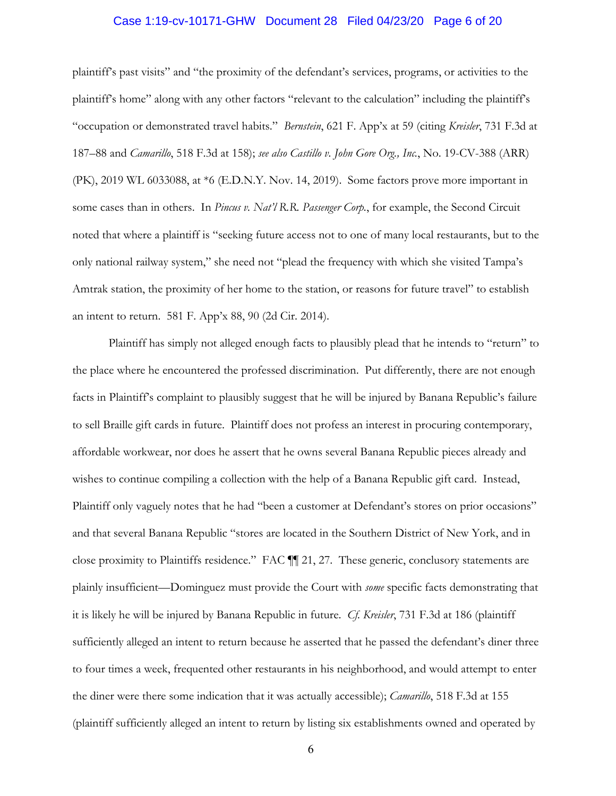### Case 1:19-cv-10171-GHW Document 28 Filed 04/23/20 Page 6 of 20

plaintiff's past visits" and "the proximity of the defendant's services, programs, or activities to the plaintiff's home" along with any other factors "relevant to the calculation" including the plaintiff's "occupation or demonstrated travel habits." *Bernstein*, 621 F. App'x at 59 (citing *Kreisler*, 731 F.3d at 187–88 and *Camarillo*, 518 F.3d at 158); *see also Castillo v. John Gore Org., Inc.*, No. 19-CV-388 (ARR) (PK), 2019 WL 6033088, at \*6 (E.D.N.Y. Nov. 14, 2019). Some factors prove more important in some cases than in others. In *Pincus v. Nat'l R.R. Passenger Corp.*, for example, the Second Circuit noted that where a plaintiff is "seeking future access not to one of many local restaurants, but to the only national railway system," she need not "plead the frequency with which she visited Tampa's Amtrak station, the proximity of her home to the station, or reasons for future travel" to establish an intent to return. 581 F. App'x 88, 90 (2d Cir. 2014).

Plaintiff has simply not alleged enough facts to plausibly plead that he intends to "return" to the place where he encountered the professed discrimination. Put differently, there are not enough facts in Plaintiff's complaint to plausibly suggest that he will be injured by Banana Republic's failure to sell Braille gift cards in future. Plaintiff does not profess an interest in procuring contemporary, affordable workwear, nor does he assert that he owns several Banana Republic pieces already and wishes to continue compiling a collection with the help of a Banana Republic gift card. Instead, Plaintiff only vaguely notes that he had "been a customer at Defendant's stores on prior occasions" and that several Banana Republic "stores are located in the Southern District of New York, and in close proximity to Plaintiffs residence." FAC ¶¶ 21, 27. These generic, conclusory statements are plainly insufficient—Dominguez must provide the Court with *some* specific facts demonstrating that it is likely he will be injured by Banana Republic in future. *Cf. Kreisler*, 731 F.3d at 186 (plaintiff sufficiently alleged an intent to return because he asserted that he passed the defendant's diner three to four times a week, frequented other restaurants in his neighborhood, and would attempt to enter the diner were there some indication that it was actually accessible); *Camarillo*, 518 F.3d at 155 (plaintiff sufficiently alleged an intent to return by listing six establishments owned and operated by

6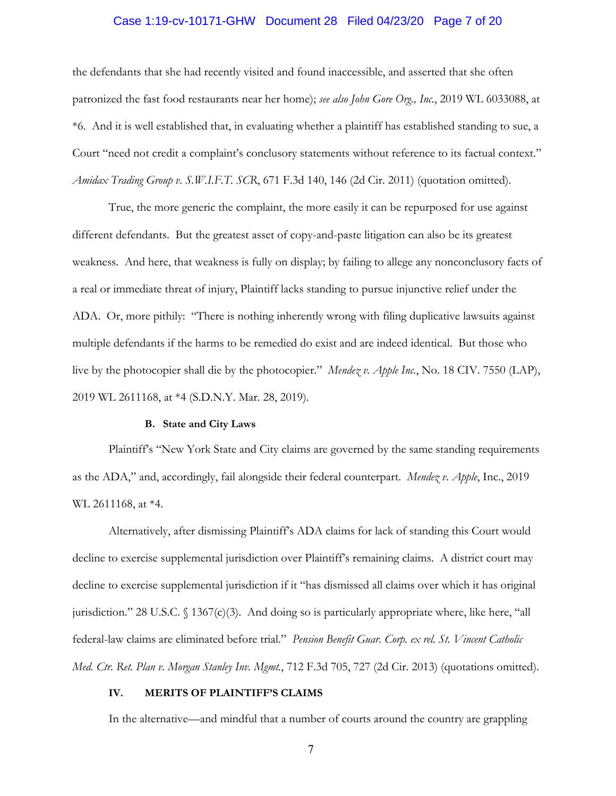# Case 1:19-cv-10171-GHW Document 28 Filed 04/23/20 Page 7 of 20

the defendants that she had recently visited and found inaccessible, and asserted that she often patronized the fast food restaurants near her home); *see also John Gore Org., Inc.*, 2019 WL 6033088, at \*6. And it is well established that, in evaluating whether a plaintiff has established standing to sue, a Court "need not credit a complaint's conclusory statements without reference to its factual context." *Amidax Trading Group v. S.W.I.F.T. SCR*, 671 F.3d 140, 146 (2d Cir. 2011) (quotation omitted).

True, the more generic the complaint, the more easily it can be repurposed for use against different defendants. But the greatest asset of copy-and-paste litigation can also be its greatest weakness. And here, that weakness is fully on display; by failing to allege any nonconclusory facts of a real or immediate threat of injury, Plaintiff lacks standing to pursue injunctive relief under the ADA. Or, more pithily: "There is nothing inherently wrong with filing duplicative lawsuits against multiple defendants if the harms to be remedied do exist and are indeed identical. But those who live by the photocopier shall die by the photocopier." *Mendez v. Apple Inc.*, No. 18 CIV. 7550 (LAP), 2019 WL 2611168, at \*4 (S.D.N.Y. Mar. 28, 2019).

#### **B. State and City Laws**

Plaintiff's "New York State and City claims are governed by the same standing requirements as the ADA," and, accordingly, fail alongside their federal counterpart. *Mendez v. Apple*, Inc., 2019 WL 2611168, at \*4.

Alternatively, after dismissing Plaintiff's ADA claims for lack of standing this Court would decline to exercise supplemental jurisdiction over Plaintiff's remaining claims. A district court may decline to exercise supplemental jurisdiction if it "has dismissed all claims over which it has original jurisdiction." 28 U.S.C. § 1367(c)(3). And doing so is particularly appropriate where, like here, "all federal-law claims are eliminated before trial." *Pension Benefit Guar. Corp. ex rel. St. Vincent Catholic Med. Ctr. Ret. Plan v. Morgan Stanley Inv. Mgmt.*, 712 F.3d 705, 727 (2d Cir. 2013) (quotations omitted).

### **IV. MERITS OF PLAINTIFF'S CLAIMS**

In the alternative—and mindful that a number of courts around the country are grappling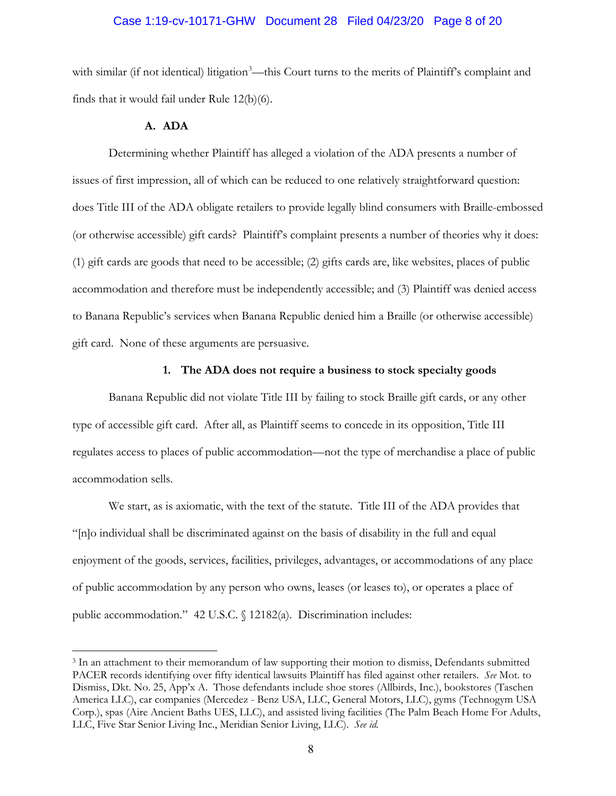### Case 1:19-cv-10171-GHW Document 28 Filed 04/23/20 Page 8 of 20

with similar (if not identical) litigation<sup>3</sup>—this Court turns to the merits of Plaintiff's complaint and finds that it would fail under Rule 12(b)(6).

# **A. ADA**

Determining whether Plaintiff has alleged a violation of the ADA presents a number of issues of first impression, all of which can be reduced to one relatively straightforward question: does Title III of the ADA obligate retailers to provide legally blind consumers with Braille-embossed (or otherwise accessible) gift cards? Plaintiff's complaint presents a number of theories why it does: (1) gift cards are goods that need to be accessible; (2) gifts cards are, like websites, places of public accommodation and therefore must be independently accessible; and (3) Plaintiff was denied access to Banana Republic's services when Banana Republic denied him a Braille (or otherwise accessible) gift card. None of these arguments are persuasive.

### **1. The ADA does not require a business to stock specialty goods**

Banana Republic did not violate Title III by failing to stock Braille gift cards, or any other type of accessible gift card. After all, as Plaintiff seems to concede in its opposition, Title III regulates access to places of public accommodation—not the type of merchandise a place of public accommodation sells.

We start, as is axiomatic, with the text of the statute. Title III of the ADA provides that "[n]o individual shall be discriminated against on the basis of disability in the full and equal enjoyment of the goods, services, facilities, privileges, advantages, or accommodations of any place of public accommodation by any person who owns, leases (or leases to), or operates a place of public accommodation." 42 U.S.C. § 12182(a). Discrimination includes:

<sup>3</sup> In an attachment to their memorandum of law supporting their motion to dismiss, Defendants submitted PACER records identifying over fifty identical lawsuits Plaintiff has filed against other retailers. *See* Mot. to Dismiss, Dkt. No. 25, App'x A. Those defendants include shoe stores (Allbirds, Inc.), bookstores (Taschen America LLC), car companies (Mercedez - Benz USA, LLC, General Motors, LLC), gyms (Technogym USA Corp.), spas (Aire Ancient Baths UES, LLC), and assisted living facilities (The Palm Beach Home For Adults, LLC, Five Star Senior Living Inc., Meridian Senior Living, LLC). *See id.*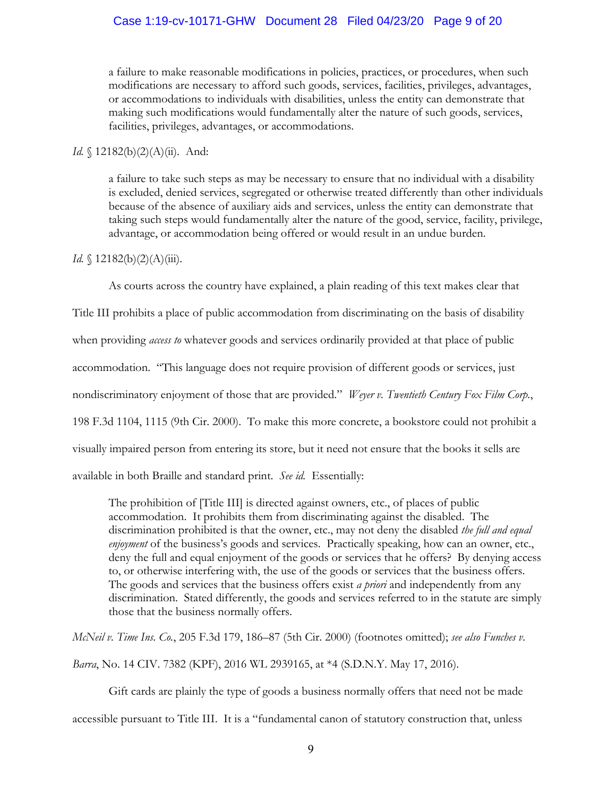a failure to make reasonable modifications in policies, practices, or procedures, when such modifications are necessary to afford such goods, services, facilities, privileges, advantages, or accommodations to individuals with disabilities, unless the entity can demonstrate that making such modifications would fundamentally alter the nature of such goods, services, facilities, privileges, advantages, or accommodations.

# *Id.* § 12182(b)(2)(A)(ii). And:

a failure to take such steps as may be necessary to ensure that no individual with a disability is excluded, denied services, segregated or otherwise treated differently than other individuals because of the absence of auxiliary aids and services, unless the entity can demonstrate that taking such steps would fundamentally alter the nature of the good, service, facility, privilege, advantage, or accommodation being offered or would result in an undue burden.

# *Id.* § 12182(b)(2)(A)(iii).

As courts across the country have explained, a plain reading of this text makes clear that

Title III prohibits a place of public accommodation from discriminating on the basis of disability when providing *access to* whatever goods and services ordinarily provided at that place of public accommodation. "This language does not require provision of different goods or services, just nondiscriminatory enjoyment of those that are provided." *Weyer v. Twentieth Century Fox Film Corp.*, 198 F.3d 1104, 1115 (9th Cir. 2000). To make this more concrete, a bookstore could not prohibit a visually impaired person from entering its store, but it need not ensure that the books it sells are available in both Braille and standard print. *See id.* Essentially:

The prohibition of [Title III] is directed against owners, etc., of places of public accommodation. It prohibits them from discriminating against the disabled. The discrimination prohibited is that the owner, etc., may not deny the disabled *the full and equal enjoyment* of the business's goods and services. Practically speaking, how can an owner, etc., deny the full and equal enjoyment of the goods or services that he offers? By denying access to, or otherwise interfering with, the use of the goods or services that the business offers. The goods and services that the business offers exist *a priori* and independently from any discrimination. Stated differently, the goods and services referred to in the statute are simply those that the business normally offers.

*McNeil v. Time Ins. Co.*, 205 F.3d 179, 186–87 (5th Cir. 2000) (footnotes omitted); *see also Funches v.* 

*Barra*, No. 14 CIV. 7382 (KPF), 2016 WL 2939165, at \*4 (S.D.N.Y. May 17, 2016).

Gift cards are plainly the type of goods a business normally offers that need not be made accessible pursuant to Title III. It is a "fundamental canon of statutory construction that, unless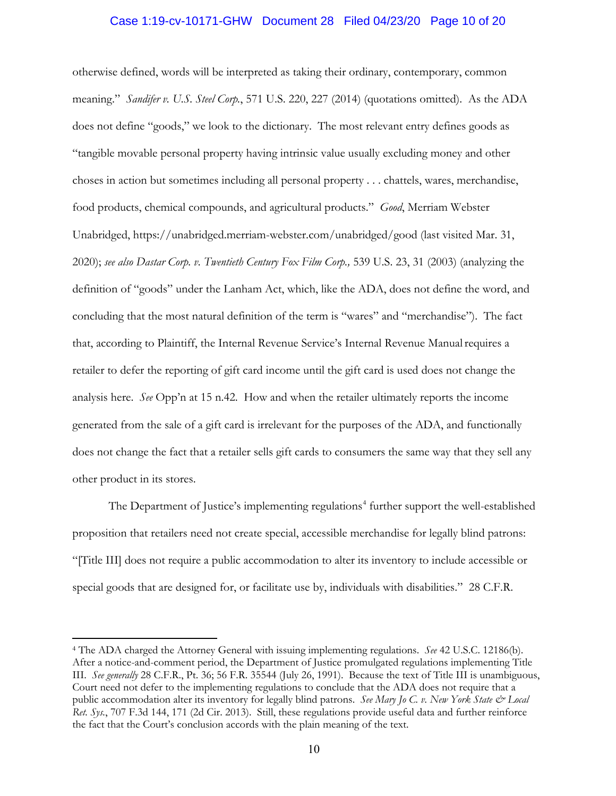## Case 1:19-cv-10171-GHW Document 28 Filed 04/23/20 Page 10 of 20

otherwise defined, words will be interpreted as taking their ordinary, contemporary, common meaning." *Sandifer v. U.S. Steel Corp.*, 571 U.S. 220, 227 (2014) (quotations omitted). As the ADA does not define "goods," we look to the dictionary. The most relevant entry defines goods as "tangible movable personal property having intrinsic value usually excluding money and other choses in action but sometimes including all personal property . . . chattels, wares, merchandise, food products, chemical compounds, and agricultural products." *Good*, Merriam Webster Unabridged, https://unabridged.merriam-webster.com/unabridged/good (last visited Mar. 31, 2020); *see also Dastar Corp. v. Twentieth Century Fox Film Corp.,* 539 U.S. 23, 31 (2003) (analyzing the definition of "goods" under the Lanham Act, which, like the ADA, does not define the word, and concluding that the most natural definition of the term is "wares" and "merchandise"). The fact that, according to Plaintiff, the Internal Revenue Service's Internal Revenue Manualrequires a retailer to defer the reporting of gift card income until the gift card is used does not change the analysis here. *See* Opp'n at 15 n.42. How and when the retailer ultimately reports the income generated from the sale of a gift card is irrelevant for the purposes of the ADA, and functionally does not change the fact that a retailer sells gift cards to consumers the same way that they sell any other product in its stores.

The Department of Justice's implementing regulations<sup>4</sup> further support the well-established proposition that retailers need not create special, accessible merchandise for legally blind patrons: "[Title III] does not require a public accommodation to alter its inventory to include accessible or special goods that are designed for, or facilitate use by, individuals with disabilities." 28 C.F.R.

<sup>4</sup> The ADA charged the Attorney General with issuing implementing regulations. *See* 42 U.S.C. 12186(b). After a notice-and-comment period, the Department of Justice promulgated regulations implementing Title III. *See generally* 28 C.F.R., Pt. 36; 56 F.R. 35544 (July 26, 1991). Because the text of Title III is unambiguous, Court need not defer to the implementing regulations to conclude that the ADA does not require that a public accommodation alter its inventory for legally blind patrons. *See Mary Jo C. v. New York State & Local Ret. Sys.*, 707 F.3d 144, 171 (2d Cir. 2013). Still, these regulations provide useful data and further reinforce the fact that the Court's conclusion accords with the plain meaning of the text.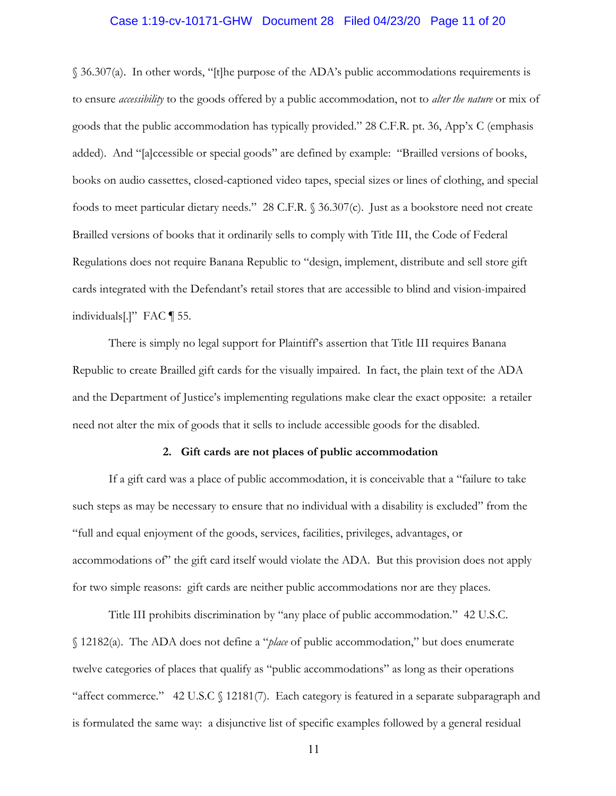### Case 1:19-cv-10171-GHW Document 28 Filed 04/23/20 Page 11 of 20

§ 36.307(a). In other words, "[t]he purpose of the ADA's public accommodations requirements is to ensure *accessibility* to the goods offered by a public accommodation, not to *alter the nature* or mix of goods that the public accommodation has typically provided." 28 C.F.R. pt. 36, App'x C (emphasis added). And "[a]ccessible or special goods" are defined by example: "Brailled versions of books, books on audio cassettes, closed-captioned video tapes, special sizes or lines of clothing, and special foods to meet particular dietary needs." 28 C.F.R. § 36.307(c). Just as a bookstore need not create Brailled versions of books that it ordinarily sells to comply with Title III, the Code of Federal Regulations does not require Banana Republic to "design, implement, distribute and sell store gift cards integrated with the Defendant's retail stores that are accessible to blind and vision-impaired individuals[.]" FAC ¶ 55.

There is simply no legal support for Plaintiff's assertion that Title III requires Banana Republic to create Brailled gift cards for the visually impaired. In fact, the plain text of the ADA and the Department of Justice's implementing regulations make clear the exact opposite: a retailer need not alter the mix of goods that it sells to include accessible goods for the disabled.

### **2. Gift cards are not places of public accommodation**

If a gift card was a place of public accommodation, it is conceivable that a "failure to take such steps as may be necessary to ensure that no individual with a disability is excluded" from the "full and equal enjoyment of the goods, services, facilities, privileges, advantages, or accommodations of" the gift card itself would violate the ADA. But this provision does not apply for two simple reasons: gift cards are neither public accommodations nor are they places.

Title III prohibits discrimination by "any place of public accommodation." 42 U.S.C. § 12182(a). The ADA does not define a "*place* of public accommodation," but does enumerate twelve categories of places that qualify as "public accommodations" as long as their operations "affect commerce." 42 U.S.C § 12181(7). Each category is featured in a separate subparagraph and is formulated the same way: a disjunctive list of specific examples followed by a general residual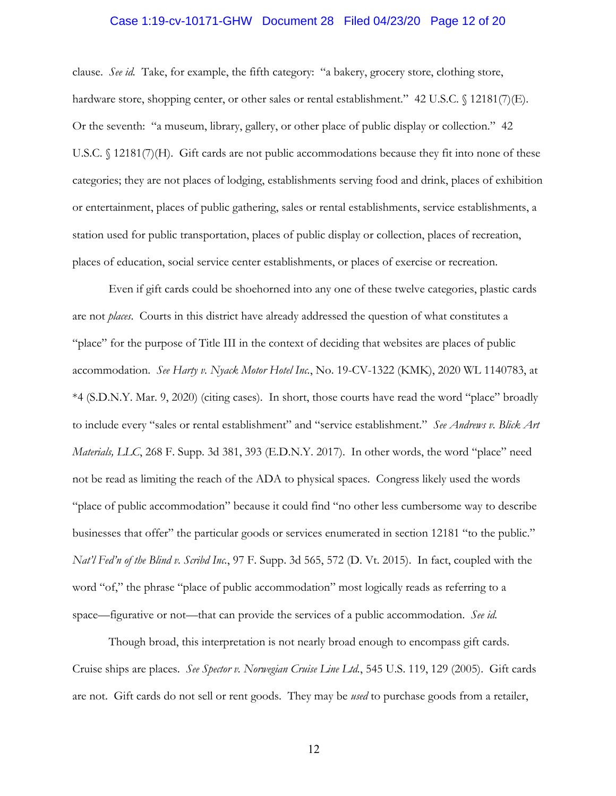# Case 1:19-cv-10171-GHW Document 28 Filed 04/23/20 Page 12 of 20

clause. *See id.* Take, for example, the fifth category: "a bakery, grocery store, clothing store, hardware store, shopping center, or other sales or rental establishment." 42 U.S.C. § 12181(7)(E). Or the seventh: "a museum, library, gallery, or other place of public display or collection." 42 U.S.C. § 12181(7)(H). Gift cards are not public accommodations because they fit into none of these categories; they are not places of lodging, establishments serving food and drink, places of exhibition or entertainment, places of public gathering, sales or rental establishments, service establishments, a station used for public transportation, places of public display or collection, places of recreation, places of education, social service center establishments, or places of exercise or recreation.

Even if gift cards could be shoehorned into any one of these twelve categories, plastic cards are not *places*. Courts in this district have already addressed the question of what constitutes a "place" for the purpose of Title III in the context of deciding that websites are places of public accommodation. *See Harty v. Nyack Motor Hotel Inc.*, No. 19-CV-1322 (KMK), 2020 WL 1140783, at \*4 (S.D.N.Y. Mar. 9, 2020) (citing cases). In short, those courts have read the word "place" broadly to include every "sales or rental establishment" and "service establishment." *See Andrews v. Blick Art Materials, LLC*, 268 F. Supp. 3d 381, 393 (E.D.N.Y. 2017). In other words, the word "place" need not be read as limiting the reach of the ADA to physical spaces. Congress likely used the words "place of public accommodation" because it could find "no other less cumbersome way to describe businesses that offer" the particular goods or services enumerated in section 12181 "to the public." *Nat'l Fed'n of the Blind v. Scribd Inc.*, 97 F. Supp. 3d 565, 572 (D. Vt. 2015). In fact, coupled with the word "of," the phrase "place of public accommodation" most logically reads as referring to a space—figurative or not—that can provide the services of a public accommodation. *See id.* 

Though broad, this interpretation is not nearly broad enough to encompass gift cards. Cruise ships are places. *See Spector v. Norwegian Cruise Line Ltd.*, 545 U.S. 119, 129 (2005). Gift cards are not. Gift cards do not sell or rent goods. They may be *used* to purchase goods from a retailer,

12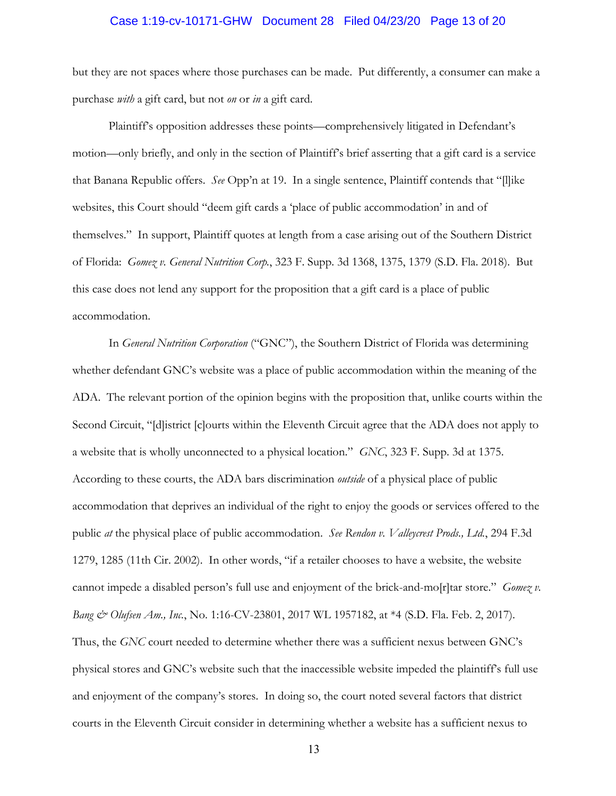### Case 1:19-cv-10171-GHW Document 28 Filed 04/23/20 Page 13 of 20

but they are not spaces where those purchases can be made. Put differently, a consumer can make a purchase *with* a gift card, but not *on* or *in* a gift card.

Plaintiff's opposition addresses these points—comprehensively litigated in Defendant's motion—only briefly, and only in the section of Plaintiff's brief asserting that a gift card is a service that Banana Republic offers. *See* Opp'n at 19. In a single sentence, Plaintiff contends that "[l]ike websites, this Court should "deem gift cards a 'place of public accommodation' in and of themselves." In support, Plaintiff quotes at length from a case arising out of the Southern District of Florida: *Gomez v. General Nutrition Corp.*, 323 F. Supp. 3d 1368, 1375, 1379 (S.D. Fla. 2018). But this case does not lend any support for the proposition that a gift card is a place of public accommodation.

In *General Nutrition Corporation* ("GNC"), the Southern District of Florida was determining whether defendant GNC's website was a place of public accommodation within the meaning of the ADA. The relevant portion of the opinion begins with the proposition that, unlike courts within the Second Circuit, "[d]istrict [c]ourts within the Eleventh Circuit agree that the ADA does not apply to a website that is wholly unconnected to a physical location." *GNC*, 323 F. Supp. 3d at 1375. According to these courts, the ADA bars discrimination *outside* of a physical place of public accommodation that deprives an individual of the right to enjoy the goods or services offered to the public *at* the physical place of public accommodation. *See Rendon v. Valleycrest Prods., Ltd.*, 294 F.3d 1279, 1285 (11th Cir. 2002). In other words, "if a retailer chooses to have a website, the website cannot impede a disabled person's full use and enjoyment of the brick-and-mo[r]tar store." *Gomez v. Bang & Olufsen Am., Inc.*, No. 1:16-CV-23801, 2017 WL 1957182, at \*4 (S.D. Fla. Feb. 2, 2017). Thus, the *GNC* court needed to determine whether there was a sufficient nexus between GNC's physical stores and GNC's website such that the inaccessible website impeded the plaintiff's full use and enjoyment of the company's stores. In doing so, the court noted several factors that district courts in the Eleventh Circuit consider in determining whether a website has a sufficient nexus to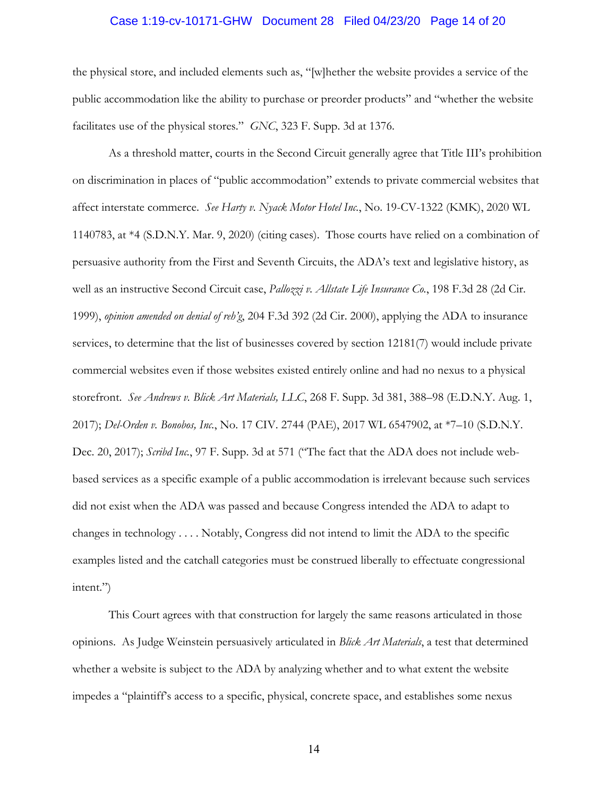# Case 1:19-cv-10171-GHW Document 28 Filed 04/23/20 Page 14 of 20

the physical store, and included elements such as, "[w]hether the website provides a service of the public accommodation like the ability to purchase or preorder products" and "whether the website facilitates use of the physical stores." *GNC*, 323 F. Supp. 3d at 1376.

As a threshold matter, courts in the Second Circuit generally agree that Title III's prohibition on discrimination in places of "public accommodation" extends to private commercial websites that affect interstate commerce. *See Harty v. Nyack Motor Hotel Inc.*, No. 19-CV-1322 (KMK), 2020 WL 1140783, at \*4 (S.D.N.Y. Mar. 9, 2020) (citing cases). Those courts have relied on a combination of persuasive authority from the First and Seventh Circuits, the ADA's text and legislative history, as well as an instructive Second Circuit case, *Pallozzi v. Allstate Life Insurance Co.*, 198 F.3d 28 (2d Cir. 1999), *opinion amended on denial of reh'g*, 204 F.3d 392 (2d Cir. 2000), applying the ADA to insurance services, to determine that the list of businesses covered by section 12181(7) would include private commercial websites even if those websites existed entirely online and had no nexus to a physical storefront. *See Andrews v. Blick Art Materials, LLC*, 268 F. Supp. 3d 381, 388–98 (E.D.N.Y. Aug. 1, 2017); *Del-Orden v. Bonobos, Inc.*, No. 17 CIV. 2744 (PAE), 2017 WL 6547902, at \*7–10 (S.D.N.Y. Dec. 20, 2017); *Scribd Inc.*, 97 F. Supp. 3d at 571 ("The fact that the ADA does not include webbased services as a specific example of a public accommodation is irrelevant because such services did not exist when the ADA was passed and because Congress intended the ADA to adapt to changes in technology . . . . Notably, Congress did not intend to limit the ADA to the specific examples listed and the catchall categories must be construed liberally to effectuate congressional intent.")

This Court agrees with that construction for largely the same reasons articulated in those opinions. As Judge Weinstein persuasively articulated in *Blick Art Materials*, a test that determined whether a website is subject to the ADA by analyzing whether and to what extent the website impedes a "plaintiff's access to a specific, physical, concrete space, and establishes some nexus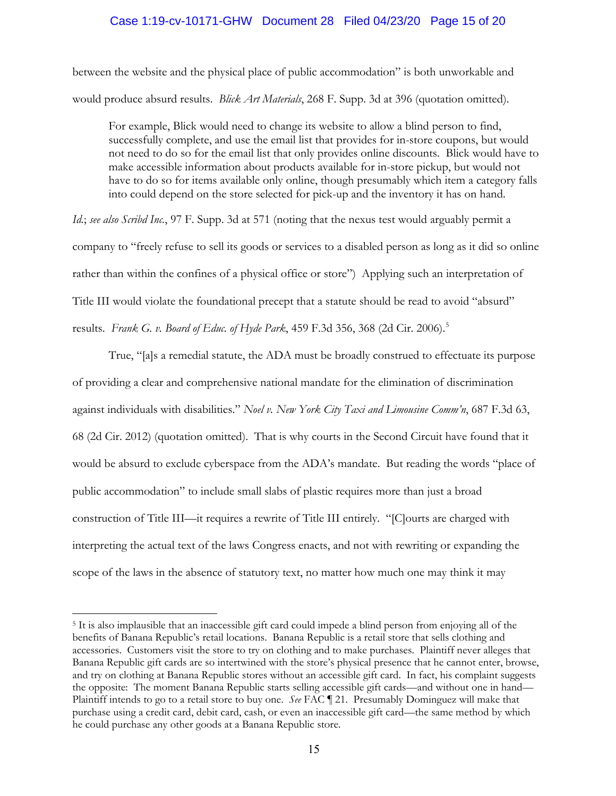# Case 1:19-cv-10171-GHW Document 28 Filed 04/23/20 Page 15 of 20

between the website and the physical place of public accommodation" is both unworkable and would produce absurd results. *Blick Art Materials*, 268 F. Supp. 3d at 396 (quotation omitted).

For example, Blick would need to change its website to allow a blind person to find, successfully complete, and use the email list that provides for in-store coupons, but would not need to do so for the email list that only provides online discounts. Blick would have to make accessible information about products available for in-store pickup, but would not have to do so for items available only online, though presumably which item a category falls into could depend on the store selected for pick-up and the inventory it has on hand.

*Id.*; *see also Scribd Inc.*, 97 F. Supp. 3d at 571 (noting that the nexus test would arguably permit a company to "freely refuse to sell its goods or services to a disabled person as long as it did so online rather than within the confines of a physical office or store") Applying such an interpretation of Title III would violate the foundational precept that a statute should be read to avoid "absurd" results. *Frank G. v. Board of Educ. of Hyde Park*, 459 F.3d 356, 368 (2d Cir. 2006).5

True, "[a]s a remedial statute, the ADA must be broadly construed to effectuate its purpose of providing a clear and comprehensive national mandate for the elimination of discrimination against individuals with disabilities." *Noel v. New York City Taxi and Limousine Comm'n*, 687 F.3d 63, 68 (2d Cir. 2012) (quotation omitted). That is why courts in the Second Circuit have found that it would be absurd to exclude cyberspace from the ADA's mandate. But reading the words "place of public accommodation" to include small slabs of plastic requires more than just a broad construction of Title III—it requires a rewrite of Title III entirely. "[C]ourts are charged with interpreting the actual text of the laws Congress enacts, and not with rewriting or expanding the scope of the laws in the absence of statutory text, no matter how much one may think it may

<sup>5</sup> It is also implausible that an inaccessible gift card could impede a blind person from enjoying all of the benefits of Banana Republic's retail locations. Banana Republic is a retail store that sells clothing and accessories. Customers visit the store to try on clothing and to make purchases. Plaintiff never alleges that Banana Republic gift cards are so intertwined with the store's physical presence that he cannot enter, browse, and try on clothing at Banana Republic stores without an accessible gift card. In fact, his complaint suggests the opposite: The moment Banana Republic starts selling accessible gift cards—and without one in hand— Plaintiff intends to go to a retail store to buy one. *See* FAC ¶ 21. Presumably Dominguez will make that purchase using a credit card, debit card, cash, or even an inaccessible gift card—the same method by which he could purchase any other goods at a Banana Republic store.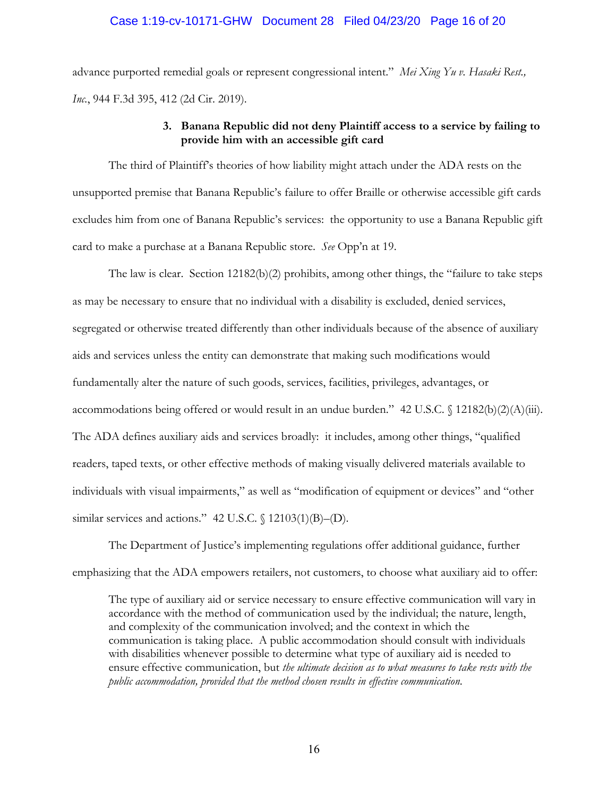# Case 1:19-cv-10171-GHW Document 28 Filed 04/23/20 Page 16 of 20

advance purported remedial goals or represent congressional intent." *Mei Xing Yu v. Hasaki Rest., Inc.*, 944 F.3d 395, 412 (2d Cir. 2019).

# **3. Banana Republic did not deny Plaintiff access to a service by failing to provide him with an accessible gift card**

The third of Plaintiff's theories of how liability might attach under the ADA rests on the unsupported premise that Banana Republic's failure to offer Braille or otherwise accessible gift cards excludes him from one of Banana Republic's services: the opportunity to use a Banana Republic gift card to make a purchase at a Banana Republic store. *See* Opp'n at 19.

The law is clear. Section 12182(b)(2) prohibits, among other things, the "failure to take steps as may be necessary to ensure that no individual with a disability is excluded, denied services, segregated or otherwise treated differently than other individuals because of the absence of auxiliary aids and services unless the entity can demonstrate that making such modifications would fundamentally alter the nature of such goods, services, facilities, privileges, advantages, or accommodations being offered or would result in an undue burden." 42 U.S.C. § 12182(b)(2)(A)(iii). The ADA defines auxiliary aids and services broadly: it includes, among other things, "qualified readers, taped texts, or other effective methods of making visually delivered materials available to individuals with visual impairments," as well as "modification of equipment or devices" and "other similar services and actions." 42 U.S.C.  $\oint$  12103(1)(B)–(D).

The Department of Justice's implementing regulations offer additional guidance, further emphasizing that the ADA empowers retailers, not customers, to choose what auxiliary aid to offer:

The type of auxiliary aid or service necessary to ensure effective communication will vary in accordance with the method of communication used by the individual; the nature, length, and complexity of the communication involved; and the context in which the communication is taking place. A public accommodation should consult with individuals with disabilities whenever possible to determine what type of auxiliary aid is needed to ensure effective communication, but *the ultimate decision as to what measures to take rests with the public accommodation, provided that the method chosen results in effective communication*.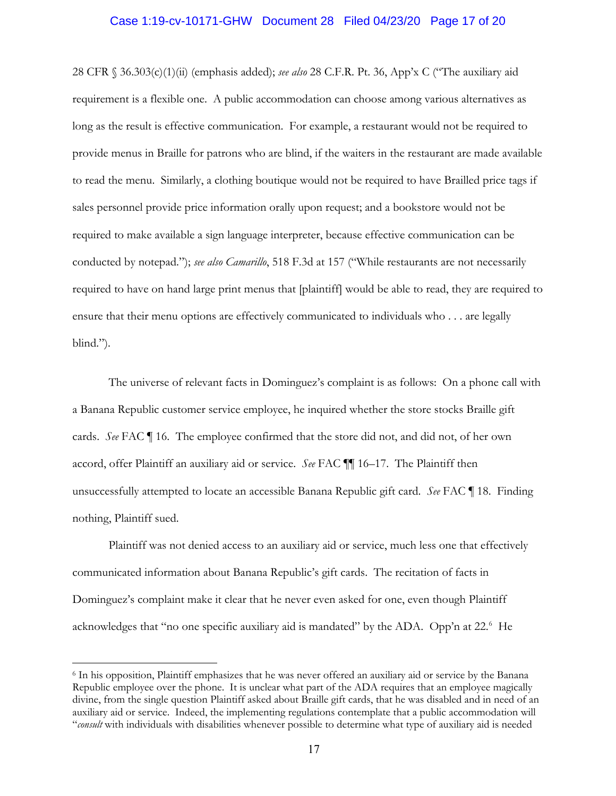### Case 1:19-cv-10171-GHW Document 28 Filed 04/23/20 Page 17 of 20

28 CFR § 36.303(c)(1)(ii) (emphasis added); *see also* 28 C.F.R. Pt. 36, App'x C ("The auxiliary aid requirement is a flexible one. A public accommodation can choose among various alternatives as long as the result is effective communication. For example, a restaurant would not be required to provide menus in Braille for patrons who are blind, if the waiters in the restaurant are made available to read the menu. Similarly, a clothing boutique would not be required to have Brailled price tags if sales personnel provide price information orally upon request; and a bookstore would not be required to make available a sign language interpreter, because effective communication can be conducted by notepad."); *see also Camarillo*, 518 F.3d at 157 ("While restaurants are not necessarily required to have on hand large print menus that [plaintiff] would be able to read, they are required to ensure that their menu options are effectively communicated to individuals who . . . are legally blind.").

The universe of relevant facts in Dominguez's complaint is as follows: On a phone call with a Banana Republic customer service employee, he inquired whether the store stocks Braille gift cards. *See* FAC ¶ 16. The employee confirmed that the store did not, and did not, of her own accord, offer Plaintiff an auxiliary aid or service. *See* FAC ¶¶ 16–17. The Plaintiff then unsuccessfully attempted to locate an accessible Banana Republic gift card. *See* FAC ¶ 18. Finding nothing, Plaintiff sued.

Plaintiff was not denied access to an auxiliary aid or service, much less one that effectively communicated information about Banana Republic's gift cards. The recitation of facts in Dominguez's complaint make it clear that he never even asked for one, even though Plaintiff acknowledges that "no one specific auxiliary aid is mandated" by the ADA. Opp'n at 22.<sup>6</sup> He

<sup>6</sup> In his opposition, Plaintiff emphasizes that he was never offered an auxiliary aid or service by the Banana Republic employee over the phone. It is unclear what part of the ADA requires that an employee magically divine, from the single question Plaintiff asked about Braille gift cards, that he was disabled and in need of an auxiliary aid or service. Indeed, the implementing regulations contemplate that a public accommodation will "*consult* with individuals with disabilities whenever possible to determine what type of auxiliary aid is needed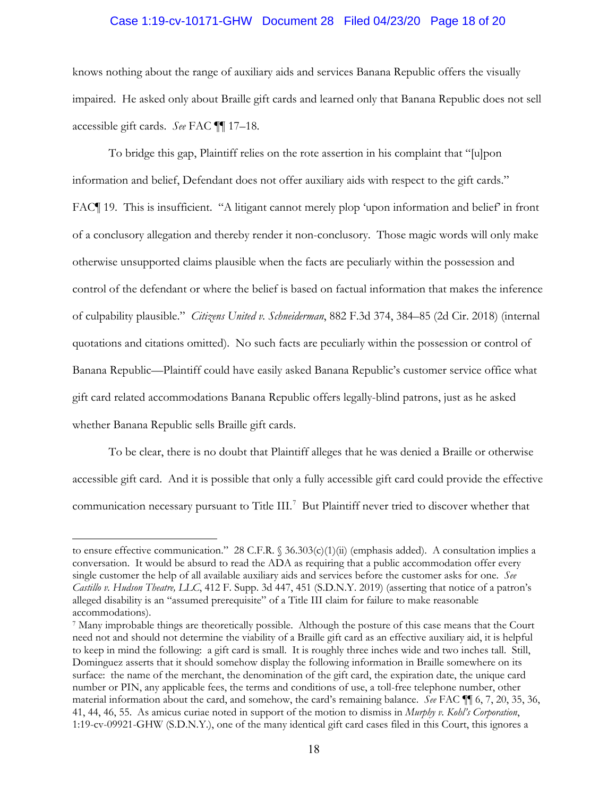### Case 1:19-cv-10171-GHW Document 28 Filed 04/23/20 Page 18 of 20

knows nothing about the range of auxiliary aids and services Banana Republic offers the visually impaired. He asked only about Braille gift cards and learned only that Banana Republic does not sell accessible gift cards. *See* FAC ¶¶ 17–18.

To bridge this gap, Plaintiff relies on the rote assertion in his complaint that "[u]pon information and belief, Defendant does not offer auxiliary aids with respect to the gift cards." FAC¶ 19. This is insufficient. "A litigant cannot merely plop 'upon information and belief' in front of a conclusory allegation and thereby render it non-conclusory. Those magic words will only make otherwise unsupported claims plausible when the facts are peculiarly within the possession and control of the defendant or where the belief is based on factual information that makes the inference of culpability plausible." *Citizens United v. Schneiderman*, 882 F.3d 374, 384–85 (2d Cir. 2018) (internal quotations and citations omitted). No such facts are peculiarly within the possession or control of Banana Republic—Plaintiff could have easily asked Banana Republic's customer service office what gift card related accommodations Banana Republic offers legally-blind patrons, just as he asked whether Banana Republic sells Braille gift cards.

To be clear, there is no doubt that Plaintiff alleges that he was denied a Braille or otherwise accessible gift card. And it is possible that only a fully accessible gift card could provide the effective communication necessary pursuant to Title III.<sup>7</sup> But Plaintiff never tried to discover whether that

to ensure effective communication." 28 C.F.R.  $\S$  36.303(c)(1)(ii) (emphasis added). A consultation implies a conversation. It would be absurd to read the ADA as requiring that a public accommodation offer every single customer the help of all available auxiliary aids and services before the customer asks for one. *See Castillo v. Hudson Theatre, LLC*, 412 F. Supp. 3d 447, 451 (S.D.N.Y. 2019) (asserting that notice of a patron's alleged disability is an "assumed prerequisite" of a Title III claim for failure to make reasonable accommodations).

<sup>7</sup> Many improbable things are theoretically possible. Although the posture of this case means that the Court need not and should not determine the viability of a Braille gift card as an effective auxiliary aid, it is helpful to keep in mind the following: a gift card is small. It is roughly three inches wide and two inches tall. Still, Dominguez asserts that it should somehow display the following information in Braille somewhere on its surface: the name of the merchant, the denomination of the gift card, the expiration date, the unique card number or PIN, any applicable fees, the terms and conditions of use, a toll-free telephone number, other material information about the card, and somehow, the card's remaining balance. *See* FAC ¶¶ 6, 7, 20, 35, 36, 41, 44, 46, 55. As amicus curiae noted in support of the motion to dismiss in *Murphy v. Kohl's Corporation*, 1:19-cv-09921-GHW (S.D.N.Y.), one of the many identical gift card cases filed in this Court, this ignores a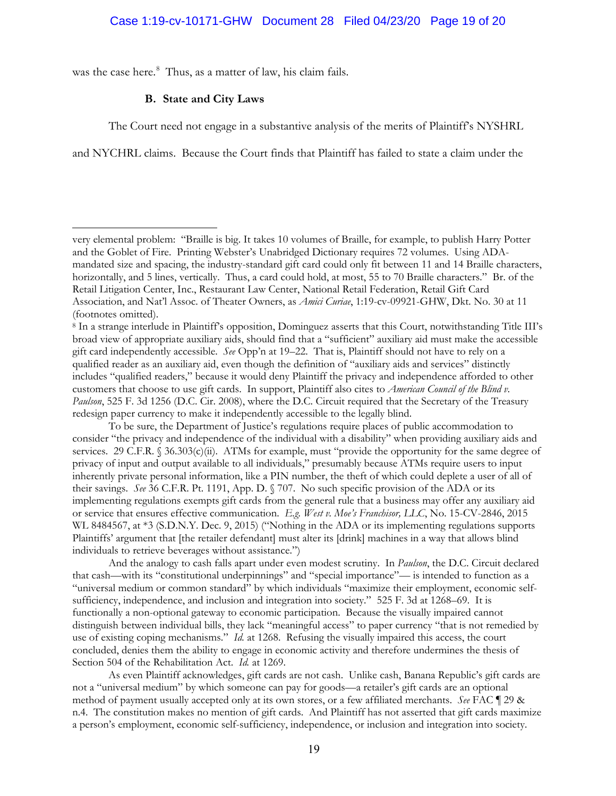was the case here.<sup>8</sup> Thus, as a matter of law, his claim fails.

### **B. State and City Laws**

The Court need not engage in a substantive analysis of the merits of Plaintiff's NYSHRL

and NYCHRL claims. Because the Court finds that Plaintiff has failed to state a claim under the

<sup>8</sup> In a strange interlude in Plaintiff's opposition, Dominguez asserts that this Court, notwithstanding Title III's broad view of appropriate auxiliary aids, should find that a "sufficient" auxiliary aid must make the accessible gift card independently accessible. *See* Opp'n at 19–22. That is, Plaintiff should not have to rely on a qualified reader as an auxiliary aid, even though the definition of "auxiliary aids and services" distinctly includes "qualified readers," because it would deny Plaintiff the privacy and independence afforded to other customers that choose to use gift cards. In support, Plaintiff also cites to *American Council of the Blind v. Paulson*, 525 F. 3d 1256 (D.C. Cir. 2008), where the D.C. Circuit required that the Secretary of the Treasury redesign paper currency to make it independently accessible to the legally blind.

To be sure, the Department of Justice's regulations require places of public accommodation to consider "the privacy and independence of the individual with a disability" when providing auxiliary aids and services. 29 C.F.R. § 36.303(c)(ii). ATMs for example, must "provide the opportunity for the same degree of privacy of input and output available to all individuals," presumably because ATMs require users to input inherently private personal information, like a PIN number, the theft of which could deplete a user of all of their savings. *See* 36 C.F.R. Pt. 1191, App. D. § 707. No such specific provision of the ADA or its implementing regulations exempts gift cards from the general rule that a business may offer any auxiliary aid or service that ensures effective communication. *E.g. West v. Moe's Franchisor, LLC*, No. 15-CV-2846, 2015 WL 8484567, at \*3 (S.D.N.Y. Dec. 9, 2015) ("Nothing in the ADA or its implementing regulations supports Plaintiffs' argument that [the retailer defendant] must alter its [drink] machines in a way that allows blind individuals to retrieve beverages without assistance.")

And the analogy to cash falls apart under even modest scrutiny. In *Paulson*, the D.C. Circuit declared that cash—with its "constitutional underpinnings" and "special importance"— is intended to function as a "universal medium or common standard" by which individuals "maximize their employment, economic selfsufficiency, independence, and inclusion and integration into society." 525 F. 3d at 1268–69. It is functionally a non-optional gateway to economic participation. Because the visually impaired cannot distinguish between individual bills, they lack "meaningful access" to paper currency "that is not remedied by use of existing coping mechanisms." *Id.* at 1268. Refusing the visually impaired this access, the court concluded, denies them the ability to engage in economic activity and therefore undermines the thesis of Section 504 of the Rehabilitation Act. *Id.* at 1269.

As even Plaintiff acknowledges, gift cards are not cash. Unlike cash, Banana Republic's gift cards are not a "universal medium" by which someone can pay for goods—a retailer's gift cards are an optional method of payment usually accepted only at its own stores, or a few affiliated merchants. *See* FAC ¶ 29 & n.4. The constitution makes no mention of gift cards. And Plaintiff has not asserted that gift cards maximize a person's employment, economic self-sufficiency, independence, or inclusion and integration into society.

very elemental problem: "Braille is big. It takes 10 volumes of Braille, for example, to publish Harry Potter and the Goblet of Fire. Printing Webster's Unabridged Dictionary requires 72 volumes. Using ADAmandated size and spacing, the industry-standard gift card could only fit between 11 and 14 Braille characters, horizontally, and 5 lines, vertically. Thus, a card could hold, at most, 55 to 70 Braille characters." Br. of the Retail Litigation Center, Inc., Restaurant Law Center, National Retail Federation, Retail Gift Card Association, and Nat'l Assoc. of Theater Owners, as *Amici Curiae*, 1:19-cv-09921-GHW, Dkt. No. 30 at 11 (footnotes omitted).